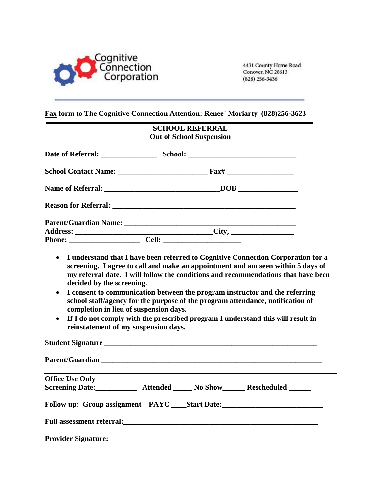

4431 County Home Road Conover, NC 28613 (828) 256-3436

#### **Fax form to The Cognitive Connection Attention: Renee` Moriarty (828)256-3623**

# **SCHOOL REFERRAL Out of School Suspension**

- **I understand that I have been referred to Cognitive Connection Corporation for a screening. I agree to call and make an appointment and am seen within 5 days of my referral date. I will follow the conditions and recommendations that have been decided by the screening.**
- **I consent to communication between the program instructor and the referring school staff/agency for the purpose of the program attendance, notification of completion in lieu of suspension days.**
- **If I do not comply with the prescribed program I understand this will result in reinstatement of my suspension days.**

| <b>Office Use Only</b>     |                                                                                   |  |
|----------------------------|-----------------------------------------------------------------------------------|--|
|                            | Screening Date: ____________ Attended _______ No Show ________ Rescheduled ______ |  |
|                            | Follow up: Group assignment PAYC ____Start Date: ________________________________ |  |
|                            |                                                                                   |  |
| <b>Provider Signature:</b> |                                                                                   |  |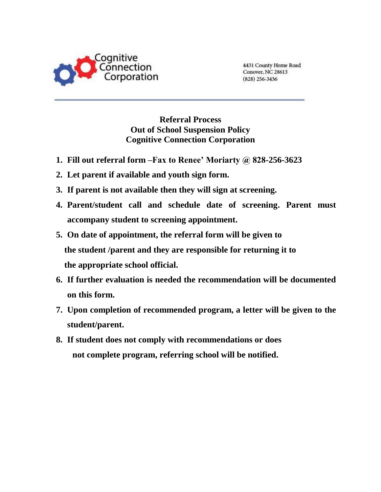

4431 County Home Road Conover, NC 28613  $(828)$  256-3436

### **Referral Process Out of School Suspension Policy Cognitive Connection Corporation**

- **1. Fill out referral form –Fax to Renee' Moriarty @ 828-256-3623**
- **2. Let parent if available and youth sign form.**
- **3. If parent is not available then they will sign at screening.**
- **4. Parent/student call and schedule date of screening. Parent must accompany student to screening appointment.**
- **5. On date of appointment, the referral form will be given to the student /parent and they are responsible for returning it to the appropriate school official.**
- **6. If further evaluation is needed the recommendation will be documented on this form.**
- **7. Upon completion of recommended program, a letter will be given to the student/parent.**
- **8. If student does not comply with recommendations or does not complete program, referring school will be notified.**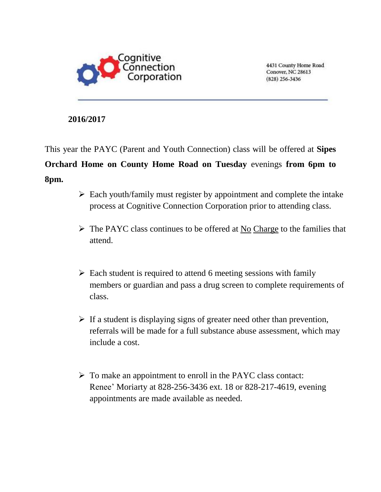

4431 County Home Road Conover, NC 28613  $(828)$  256-3436

### **2016/2017**

This year the PAYC (Parent and Youth Connection) class will be offered at **Sipes Orchard Home on County Home Road on Tuesday** evenings **from 6pm to 8pm.**

- $\triangleright$  Each youth/family must register by appointment and complete the intake process at Cognitive Connection Corporation prior to attending class.
- $\triangleright$  The PAYC class continues to be offered at No Charge to the families that attend.
- $\triangleright$  Each student is required to attend 6 meeting sessions with family members or guardian and pass a drug screen to complete requirements of class.
- $\triangleright$  If a student is displaying signs of greater need other than prevention, referrals will be made for a full substance abuse assessment, which may include a cost.
- $\triangleright$  To make an appointment to enroll in the PAYC class contact: Renee' Moriarty at 828-256-3436 ext. 18 or 828-217-4619, evening appointments are made available as needed.